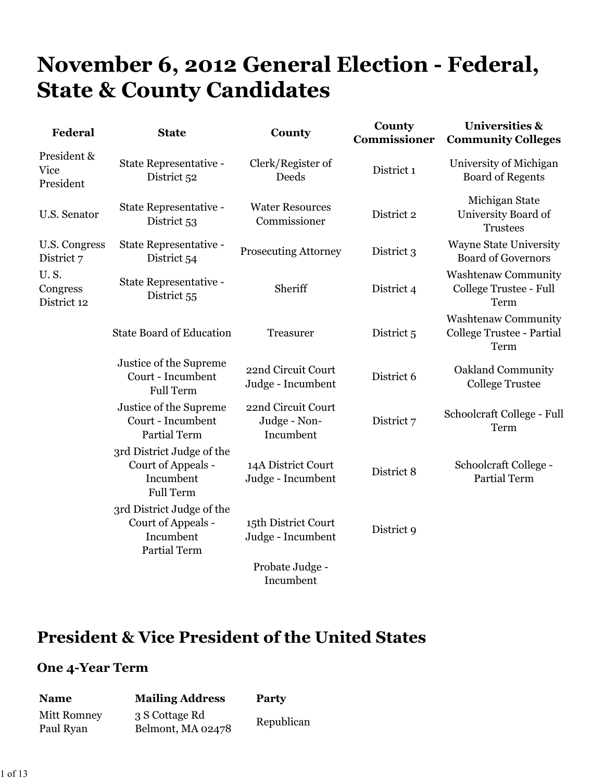# **November 6, 2012 General Election - Federal, State & County Candidates**

| Federal                                | <b>State</b>                                                                        | County                                          | County<br>Commissioner | <b>Universities &amp;</b><br><b>Community Colleges</b>          |
|----------------------------------------|-------------------------------------------------------------------------------------|-------------------------------------------------|------------------------|-----------------------------------------------------------------|
| President &<br>Vice<br>President       | State Representative -<br>District 52                                               | Clerk/Register of<br>Deeds                      | District 1             | University of Michigan<br><b>Board of Regents</b>               |
| <b>U.S. Senator</b>                    | State Representative -<br>District 53                                               | <b>Water Resources</b><br>Commissioner          | District 2             | Michigan State<br>University Board of<br><b>Trustees</b>        |
| U.S. Congress<br>District 7            | State Representative -<br>District 54                                               | <b>Prosecuting Attorney</b>                     | District 3             | <b>Wayne State University</b><br><b>Board of Governors</b>      |
| <b>U.S.</b><br>Congress<br>District 12 | State Representative -<br>District 55                                               | Sheriff                                         | District 4             | <b>Washtenaw Community</b><br>College Trustee - Full<br>Term    |
|                                        | <b>State Board of Education</b>                                                     | Treasurer                                       | District 5             | <b>Washtenaw Community</b><br>College Trustee - Partial<br>Term |
|                                        | Justice of the Supreme<br>Court - Incumbent<br><b>Full Term</b>                     | 22nd Circuit Court<br>Judge - Incumbent         | District 6             | Oakland Community<br><b>College Trustee</b>                     |
|                                        | Justice of the Supreme<br>Court - Incumbent<br><b>Partial Term</b>                  | 22nd Circuit Court<br>Judge - Non-<br>Incumbent | District 7             | Schoolcraft College - Full<br>Term                              |
|                                        | 3rd District Judge of the<br>Court of Appeals -<br>Incumbent<br><b>Full Term</b>    | 14A District Court<br>Judge - Incumbent         | District 8             | Schoolcraft College -<br><b>Partial Term</b>                    |
|                                        | 3rd District Judge of the<br>Court of Appeals -<br>Incumbent<br><b>Partial Term</b> | 15th District Court<br>Judge - Incumbent        | District 9             |                                                                 |
|                                        |                                                                                     | Probate Judge -<br>Incumbent                    |                        |                                                                 |

# **President & Vice President of the United States**

| <b>Name</b> | <b>Mailing Address</b> | Party      |
|-------------|------------------------|------------|
| Mitt Romney | 3 S Cottage Rd         | Republican |
| Paul Ryan   | Belmont, MA 02478      |            |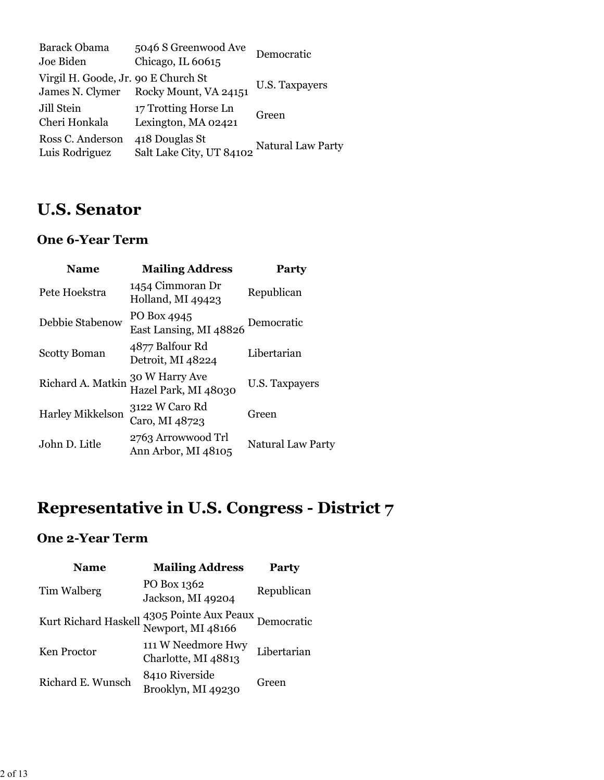| <b>Barack Obama</b><br>Joe Biden                       | 5046 S Greenwood Ave<br>Chicago, IL 60615   | Democratic        |
|--------------------------------------------------------|---------------------------------------------|-------------------|
| Virgil H. Goode, Jr. 90 E Church St<br>James N. Clymer | Rocky Mount, VA 24151                       | U.S. Taxpayers    |
| Jill Stein<br>Cheri Honkala                            | 17 Trotting Horse Ln<br>Lexington, MA 02421 | Green             |
| Ross C. Anderson<br>Luis Rodriguez                     | 418 Douglas St<br>Salt Lake City, UT 84102  | Natural Law Party |

# **U.S. Senator**

#### **One 6-Year Term**

| <b>Name</b>             | <b>Mailing Address</b>                    | Party             |
|-------------------------|-------------------------------------------|-------------------|
| Pete Hoekstra           | 1454 Cimmoran Dr<br>Holland, MI 49423     | Republican        |
| Debbie Stabenow         | PO Box 4945<br>East Lansing, MI 48826     | Democratic        |
| <b>Scotty Boman</b>     | 4877 Balfour Rd<br>Detroit, MI 48224      | Libertarian       |
| Richard A. Matkin       | 30 W Harry Ave<br>Hazel Park, MI 48030    | U.S. Taxpayers    |
| <b>Harley Mikkelson</b> | 3122 W Caro Rd<br>Caro, MI 48723          | Green             |
| John D. Litle           | 2763 Arrowwood Trl<br>Ann Arbor, MI 48105 | Natural Law Party |

# **Representative in U.S. Congress - District 7**

| <b>Name</b>          | <b>Mailing Address</b>                     | <b>Party</b> |
|----------------------|--------------------------------------------|--------------|
| Tim Walberg          | PO Box 1362<br>Jackson, MI 49204           | Republican   |
| Kurt Richard Haskell | 4305 Pointe Aux Peaux<br>Newport, MI 48166 | Democratic   |
| Ken Proctor          | 111 W Needmore Hwy<br>Charlotte, MI 48813  | Libertarian  |
| Richard E. Wunsch    | 8410 Riverside<br>Brooklyn, MI 49230       | Green        |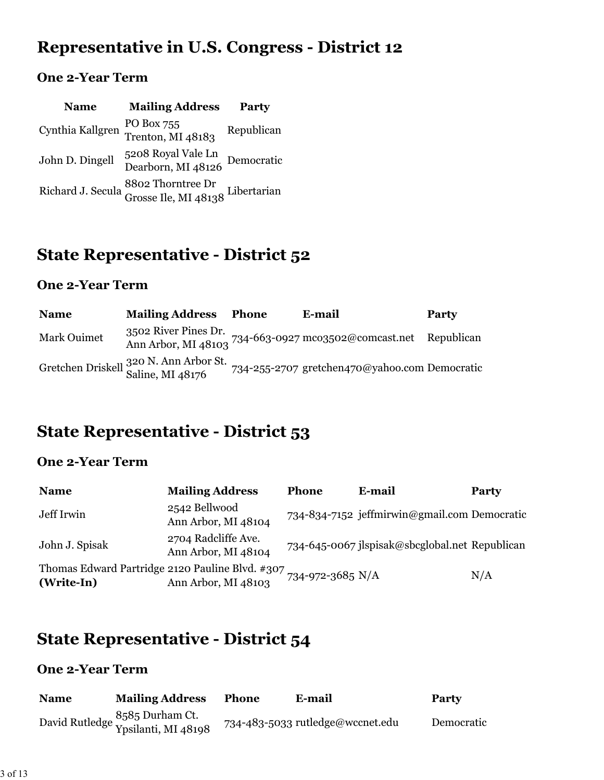# **Representative in U.S. Congress - District 12**

### **One 2-Year Term**

| <b>Name</b>      | <b>Mailing Address</b>                                                  | Party      |
|------------------|-------------------------------------------------------------------------|------------|
| Cynthia Kallgren | PO Box 755<br>Trenton, MI 48183                                         | Republican |
| John D. Dingell  | 5208 Royal Vale Ln<br>Dearborn, MI 48126 Democratic                     |            |
|                  | Richard J. Secula 8802 Thorntree Dr<br>Grosse Ile, MI 48138 Libertarian |            |

# **State Representative - District 52**

#### **One 2-Year Term**

| <b>Name</b> | <b>Mailing Address</b>                                                | Phone | E-mail                                                                                 | <b>Party</b> |
|-------------|-----------------------------------------------------------------------|-------|----------------------------------------------------------------------------------------|--------------|
| Mark Ouimet |                                                                       |       | 3502 River Pines Dr. $734-663-0927$ mco3502@comcast.net Republican Ann Arbor, MI 48103 |              |
|             | Gretchen Driskell <sup>320</sup> N. Ann Arbor St.<br>Saline, MI 48176 |       | 734-255-2707 gretchen470@yahoo.com Democratic                                          |              |

# **State Representative - District 53**

#### **One 2-Year Term**

| <b>Name</b>                                                                    | <b>Mailing Address</b>                     | <b>Phone</b> | E-mail                                         | Party |
|--------------------------------------------------------------------------------|--------------------------------------------|--------------|------------------------------------------------|-------|
| Jeff Irwin                                                                     | 2542 Bellwood<br>Ann Arbor, MI 48104       |              | 734-834-7152 jeffmirwin@gmail.com Democratic   |       |
| John J. Spisak                                                                 | 2704 Radcliffe Ave.<br>Ann Arbor, MI 48104 |              | 734-645-0067 ilspisak@sbcglobal.net Republican |       |
| Thomas Edward Partridge 2120 Pauline Blvd. #307 734-972-3685 N/A<br>(Write-In) | Ann Arbor, MI 48103                        |              |                                                | N/A   |

# **State Representative - District 54**

| <b>Name</b> | <b>Mailing Address</b>                                          | <b>Phone</b> | E-mail                           | <b>Party</b> |
|-------------|-----------------------------------------------------------------|--------------|----------------------------------|--------------|
|             | B <sub>5</sub> 8 <sub>5</sub> Durham Ct.<br>Ypsilanti, MI 48198 |              | 734-483-5033 rutledge@wccnet.edu | Democratic   |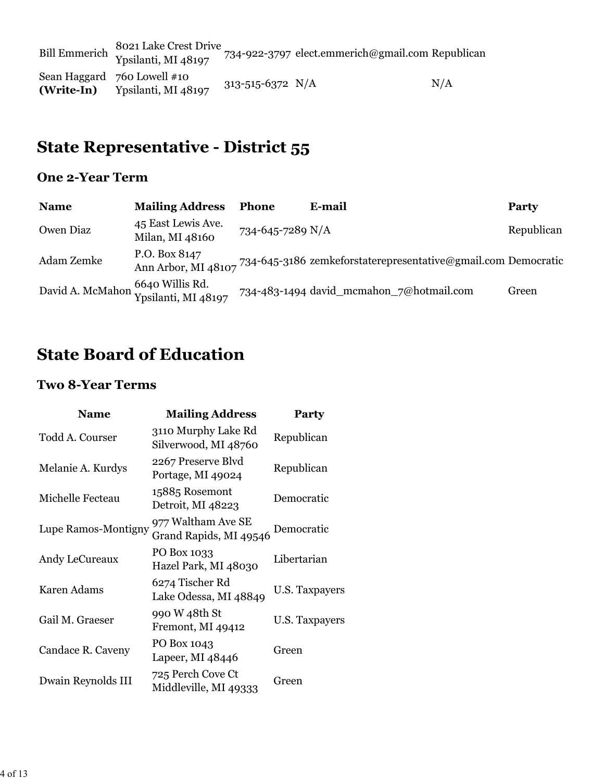Bill Emmerich 8021 Lake Crest Drive<br>Ypsilanti, MI 48197 734-922-3797 elect.emmerich@gmail.com Republican Sean Haggard 760 Lowell #10 **(Write-In)**  $\gamma$ oo Lowen #10<br>Ypsilanti, MI 48197 313-515-6372 N/A N/A

# **State Representative - District 55**

#### **One 2-Year Term**

| <b>Name</b> | <b>Mailing Address</b>                                  | <b>Phone</b>     | E-mail                                                                            | Party      |
|-------------|---------------------------------------------------------|------------------|-----------------------------------------------------------------------------------|------------|
| Owen Diaz   | 45 East Lewis Ave.<br>Milan, MI 48160                   | 734-645-7289 N/A |                                                                                   | Republican |
| Adam Zemke  | P.O. Box 8147                                           |                  | Ann Arbor, MI 48107 734-645-3186 zemkeforstaterepresentative@gmail.com Democratic |            |
|             | David A. McMahon 6640 Willis Rd.<br>Ypsilanti, MI 48197 |                  | 734-483-1494 david_mcmahon_7@hotmail.com                                          | Green      |

### **State Board of Education**

#### **Two 8-Year Terms**

| <b>Name</b>         | <b>Mailing Address</b>                       | <b>Party</b>   |
|---------------------|----------------------------------------------|----------------|
| Todd A. Courser     | 3110 Murphy Lake Rd<br>Silverwood, MI 48760  | Republican     |
| Melanie A. Kurdys   | 2267 Preserve Blvd<br>Portage, MI 49024      | Republican     |
| Michelle Fecteau    | 15885 Rosemont<br>Detroit, MI 48223          | Democratic     |
| Lupe Ramos-Montigny | 977 Waltham Ave SE<br>Grand Rapids, MI 49546 | Democratic     |
| Andy LeCureaux      | PO Box 1033<br>Hazel Park, MI 48030          | Libertarian    |
| Karen Adams         | 6274 Tischer Rd<br>Lake Odessa, MI 48849     | U.S. Taxpayers |
| Gail M. Graeser     | 990 W 48th St<br>Fremont, MI 49412           | U.S. Taxpayers |
| Candace R. Caveny   | PO Box 1043<br>Lapeer, MI 48446              | Green          |
| Dwain Reynolds III  | 725 Perch Cove Ct<br>Middleville, MI 49333   | Green          |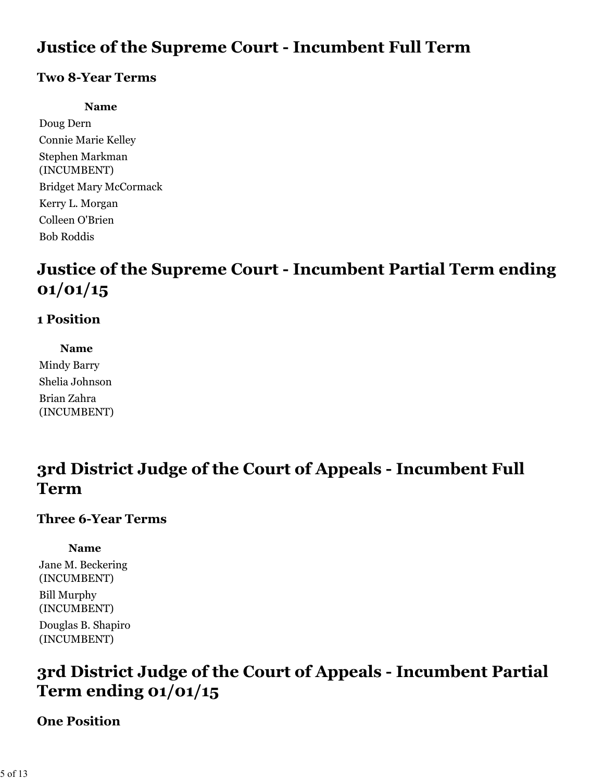# **Justice of the Supreme Court - Incumbent Full Term**

#### **Two 8-Year Terms**

#### **Name**

Doug Dern Connie Marie Kelley Stephen Markman (INCUMBENT) Bridget Mary McCormack Kerry L. Morgan Colleen O'Brien Bob Roddis

# **Justice of the Supreme Court - Incumbent Partial Term ending 01/01/15**

### **1 Position**

**Name** Mindy Barry Shelia Johnson Brian Zahra (INCUMBENT)

# **3rd District Judge of the Court of Appeals - Incumbent Full Term**

#### **Three 6-Year Terms**

**Name**

Jane M. Beckering (INCUMBENT) Bill Murphy (INCUMBENT) Douglas B. Shapiro (INCUMBENT)

# **3rd District Judge of the Court of Appeals - Incumbent Partial Term ending 01/01/15**

#### **One Position**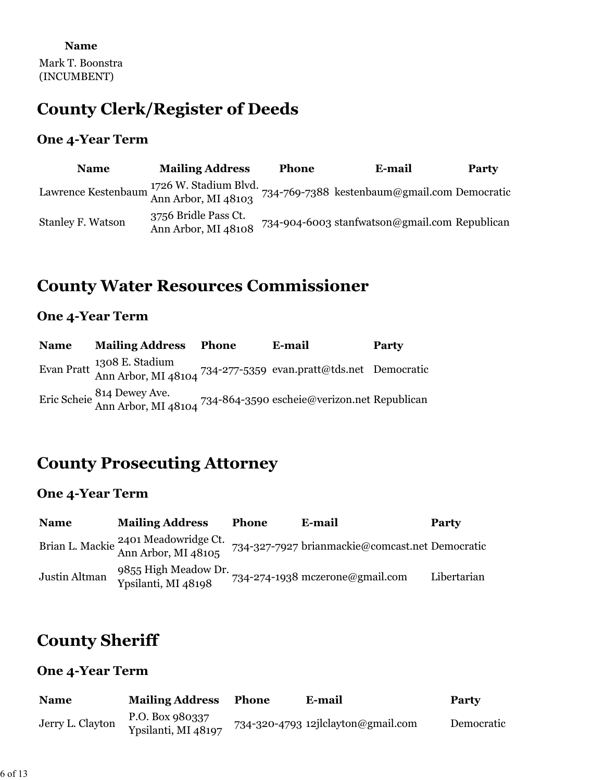# **County Clerk/Register of Deeds**

#### **One 4-Year Term**

| <b>Name</b>                                                              | <b>Mailing Address</b>                      | <b>Phone</b> | E-mail                                        | Party |
|--------------------------------------------------------------------------|---------------------------------------------|--------------|-----------------------------------------------|-------|
| Lawrence Kestenbaum $\frac{1726 \text{ W}}{\text{Ann Arbor}}$ , MI 48103 |                                             |              | 734-769-7388 kestenbaum@gmail.com Democratic  |       |
| <b>Stanley F. Watson</b>                                                 | 3756 Bridle Pass Ct.<br>Ann Arbor, MI 48108 |              | 734-904-6003 stanfwatson@gmail.com Republican |       |

### **County Water Resources Commissioner**

#### **One 4-Year Term**

| <b>Name</b> | <b>Mailing Address Phone</b>                                                                  | E-mail | <b>Party</b> |
|-------------|-----------------------------------------------------------------------------------------------|--------|--------------|
|             | Evan Pratt 1308 E. Stadium<br>Ann Arbor, MI 48104 734-277-5359 evan.pratt@tds.net Democratic  |        |              |
|             | Eric Scheie 814 Dewey Ave.<br>Ann Arbor, MI 48104 734-864-3590 escheie@verizon.net Republican |        |              |

### **County Prosecuting Attorney**

#### **One 4-Year Term**

| <b>Name</b>   | <b>Mailing Address</b>                                      | <b>Phone</b> | E-mail                                          | <b>Party</b> |
|---------------|-------------------------------------------------------------|--------------|-------------------------------------------------|--------------|
|               | Brian L. Mackie 2401 Meadowridge Ct.<br>Ann Arbor, MI 48105 |              | 734-327-7927 brianmackie@comcast.net Democratic |              |
| Justin Altman | 9855 High Meadow Dr.<br>Ypsilanti, MI 48198                 |              | 734-274-1938 mczerone@gmail.com                 | Libertarian  |

### **County Sheriff**

| <b>Name</b>      | <b>Mailing Address</b>                 | Phone | E-mail                             | <b>Party</b> |
|------------------|----------------------------------------|-------|------------------------------------|--------------|
| Jerry L. Clayton | P.O. Box 980337<br>Ypsilanti, MI 48197 |       | 734-320-4793 12jlclayton@gmail.com | Democratic   |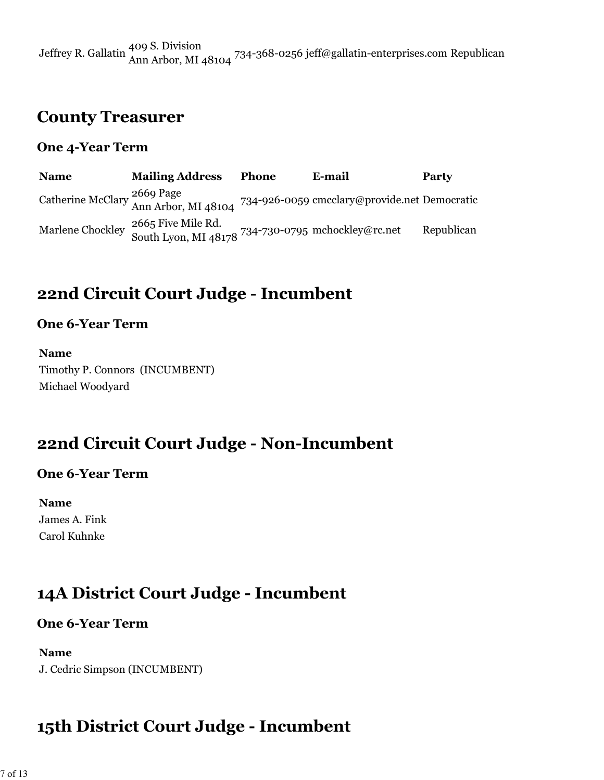Jeffrey R. Gallatin 409 S. Division Ann Arbor, MI 48104 734-368-0256 jeff@gallatin-enterprises.com Republican

### **County Treasurer**

#### **One 4-Year Term**

**Name Mailing Address Phone E-mail Party** Catherine McClary 2669 Page 734-926-0059 cmcclary@provide.net Democratic Marlene Chockley 2665 Five Mile Rd.<br>South Lyon, MI 48178 734-730-0795 mchockley@rc.net Republican

### **22nd Circuit Court Judge - Incumbent**

#### **One 6-Year Term**

**Name** Timothy P. Connors (INCUMBENT) Michael Woodyard

### **22nd Circuit Court Judge - Non-Incumbent**

#### **One 6-Year Term**

**Name** James A. Fink Carol Kuhnke

### **14A District Court Judge - Incumbent**

#### **One 6-Year Term**

#### **Name**

J. Cedric Simpson (INCUMBENT)

### **15th District Court Judge - Incumbent**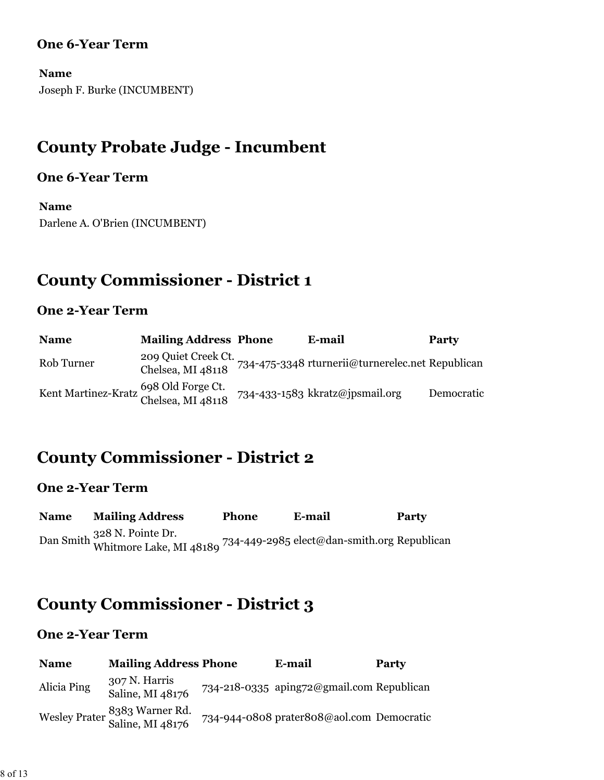#### **One 6-Year Term**

**Name** Joseph F. Burke (INCUMBENT)

# **County Probate Judge - Incumbent**

#### **One 6-Year Term**

**Name** Darlene A. O'Brien (INCUMBENT)

# **County Commissioner - District 1**

#### **One 2-Year Term**

| <b>Name</b>                                                | <b>Mailing Address Phone</b> | E-mail                                                               | <b>Party</b> |
|------------------------------------------------------------|------------------------------|----------------------------------------------------------------------|--------------|
| Rob Turner                                                 |                              | 209 Quiet Creek Ct. 734-475-3348 rturnerii@turnerelec.net Republican |              |
| Kent Martinez-Kratz 698 Old Forge Ct.<br>Chelsea, MI 48118 |                              | 734-433-1583 kkratz@jpsmail.org                                      | Democratic   |

### **County Commissioner - District 2**

#### **One 2-Year Term**

| <b>Name</b> | <b>Mailing Address</b>                                                                             | <b>Phone</b> | E-mail | <b>Party</b> |
|-------------|----------------------------------------------------------------------------------------------------|--------------|--------|--------------|
|             | Dan Smith 328 N. Pointe Dr.<br>Whitmore Lake, MI 48189 734-449-2985 elect@dan-smith.org Republican |              |        |              |

# **County Commissioner - District 3**

| <b>Name</b> | <b>Mailing Address Phone</b>                      | E-mail                                    | Party |
|-------------|---------------------------------------------------|-------------------------------------------|-------|
| Alicia Ping | 307 N. Harris<br>Saline, MI 48176                 | 734-218-0335 aping72@gmail.com Republican |       |
|             | Wesley Prater 8383 Warner Rd.<br>Saline, MI 48176 | 734-944-0808 prater808@aol.com Democratic |       |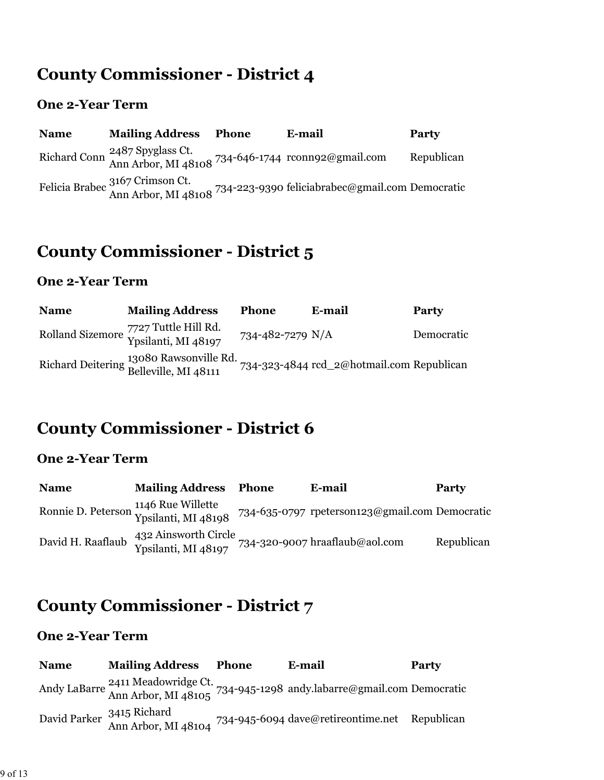# **County Commissioner - District 4**

### **One 2-Year Term**

| <b>Name</b> | <b>Mailing Address</b>                                                                                        | <b>Phone</b> | E-mail                                                                                                 | <b>Party</b> |
|-------------|---------------------------------------------------------------------------------------------------------------|--------------|--------------------------------------------------------------------------------------------------------|--------------|
|             | Richard Conn <sup>2487</sup> Spyglass Ct.<br>Ann Arbor, MI 48108 <sup>734-646-1744</sup> reconnected mail.com |              |                                                                                                        | Republican   |
|             |                                                                                                               |              | Felicia Brabec 3167 Crimson Ct.<br>Ann Arbor, MI 48108 734-223-9390 feliciabrabec@gmail.com Democratic |              |

### **County Commissioner - District 5**

#### **One 2-Year Term**

| <b>Name</b> | <b>Mailing Address</b>                                       | Phone            | E-mail                                    | Party      |
|-------------|--------------------------------------------------------------|------------------|-------------------------------------------|------------|
|             | Rolland Sizemore 7727 Tuttle Hill Rd.<br>Ypsilanti, MI 48197 | 734-482-7279 N/A |                                           | Democratic |
|             | Richard Deitering 13080 Rawsonville Rd.                      |                  | 734-323-4844 rcd_2@hotmail.com Republican |            |

## **County Commissioner - District 6**

#### **One 2-Year Term**

| <b>Name</b>       | <b>Mailing Address Phone</b>                                               | E-mail                                         | Party      |
|-------------------|----------------------------------------------------------------------------|------------------------------------------------|------------|
|                   | Ronnie D. Peterson 1146 Rue Willette<br>Ypsilanti, MI 48198                | 734-635-0797 rpeterson123@gmail.com Democratic |            |
| David H. Raaflaub | 432 Ainsworth Circle<br>Ypsilanti, MI 48197 734-320-9007 hraaflaub@aol.com |                                                | Republican |

# **County Commissioner - District 7**

| <b>Name</b> | <b>Mailing Address Phone</b> | E-mail                                                                                                  | <b>Party</b> |
|-------------|------------------------------|---------------------------------------------------------------------------------------------------------|--------------|
|             |                              | Andy LaBarre 2411 Meadowridge Ct.<br>Ann Arbor, MI 48105 734-945-1298 andy.labarre@gmail.com Democratic |              |
|             |                              | David Parker 3415 Richard<br>Ann Arbor. MI 48104 734-945-6094 dave@retireontime.net Republican          |              |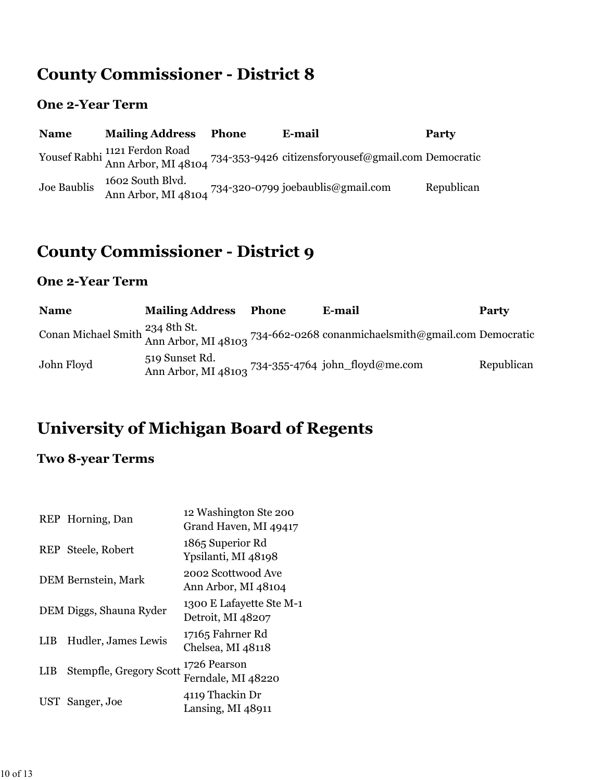# **County Commissioner - District 8**

#### **One 2-Year Term**

| <b>Name</b> | <b>Mailing Address</b>                  | <b>Phone</b> | E-mail                                                                                                   | Party      |
|-------------|-----------------------------------------|--------------|----------------------------------------------------------------------------------------------------------|------------|
|             |                                         |              | Yousef Rabhi 1121 Ferdon Road<br>Ann Arbor, MI 48104 734-353-9426 citizensforyousef@gmail.com Democratic |            |
| Joe Baublis | 1602 South Blvd.<br>Ann Arbor, MI 48104 |              | 734-320-0799 joebaublis@gmail.com                                                                        | Republican |

# **County Commissioner - District 9**

#### **One 2-Year Term**

| <b>Name</b> | <b>Mailing Address</b> | Phone | E-mail                                                                                                                           | <b>Party</b> |
|-------------|------------------------|-------|----------------------------------------------------------------------------------------------------------------------------------|--------------|
|             |                        |       | Conan Michael Smith <sup>234</sup> 8th St.<br>Ann Arbor, MI 48103 <sup>734-662-0268</sup> conanmichaelsmith@gmail.com Democratic |              |
| John Floyd  | 519 Sunset Rd.         |       | Ann Arbor, MI 48103 734-355-4764 john_floyd@me.com                                                                               | Republican   |

# **University of Michigan Board of Regents**

### **Two 8-year Terms**

|            | REP Horning, Dan        | 12 Washington Ste 200<br>Grand Haven, MI 49417 |
|------------|-------------------------|------------------------------------------------|
|            | REP Steele, Robert      | 1865 Superior Rd<br>Ypsilanti, MI 48198        |
|            | DEM Bernstein, Mark     | 2002 Scottwood Ave<br>Ann Arbor, MI 48104      |
|            | DEM Diggs, Shauna Ryder | 1300 E Lafayette Ste M-1<br>Detroit, MI 48207  |
| <b>LIB</b> | Hudler, James Lewis     | 17165 Fahrner Rd<br>Chelsea, MI 48118          |
| LIB        | Stempfle, Gregory Scott | 1726 Pearson<br>Ferndale, MI 48220             |
| UST        | Sanger, Joe             | 4119 Thackin Dr<br>Lansing, MI 48911           |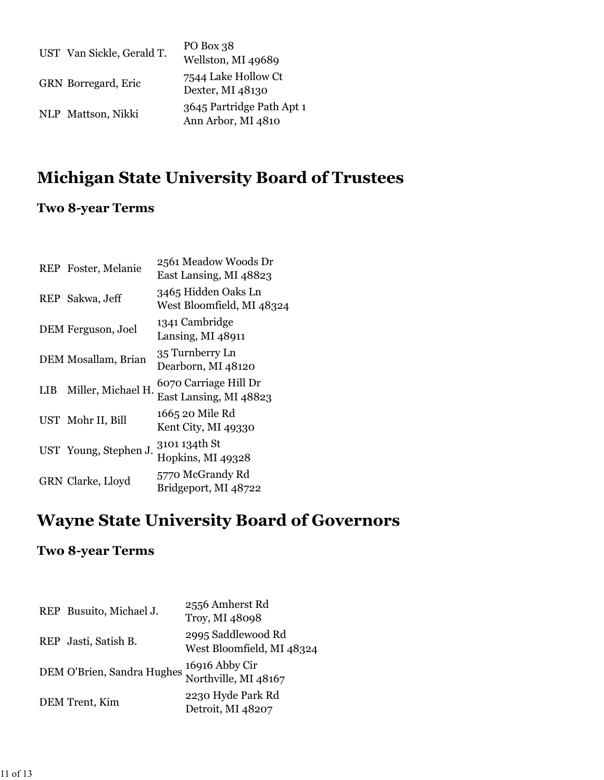| UST Van Sickle, Gerald T. | PO Box 38<br>Wellston, MI 49689                 |
|---------------------------|-------------------------------------------------|
| GRN Borregard, Eric       | 7544 Lake Hollow Ct<br>Dexter, MI 48130         |
| NLP Mattson, Nikki        | 3645 Partridge Path Apt 1<br>Ann Arbor, MI 4810 |

# **Michigan State University Board of Trustees**

### **Two 8-year Terms**

|            | REP Foster, Melanie   | 2561 Meadow Woods Dr<br>East Lansing, MI 48823   |
|------------|-----------------------|--------------------------------------------------|
|            | REP Sakwa, Jeff       | 3465 Hidden Oaks Ln<br>West Bloomfield, MI 48324 |
|            | DEM Ferguson, Joel    | 1341 Cambridge<br>Lansing, $MI$ 48911            |
|            | DEM Mosallam, Brian   | 35 Turnberry Ln<br>Dearborn, MI 48120            |
| <b>LIB</b> | Miller, Michael H.    | 6070 Carriage Hill Dr<br>East Lansing, MI 48823  |
|            | UST Mohr II, Bill     | 1665 20 Mile Rd<br>Kent City, MI 49330           |
|            | UST Young, Stephen J. | 3101 134th St<br>Hopkins, MI 49328               |
|            | GRN Clarke, Lloyd     | 5770 McGrandy Rd<br>Bridgeport, MI 48722         |
|            |                       |                                                  |

# **Wayne State University Board of Governors**

### **Two 8-year Terms**

| REP Busuito, Michael J.    | 2556 Amherst Rd<br>Troy, MI 48098               |
|----------------------------|-------------------------------------------------|
| REP Jasti, Satish B.       | 2995 Saddlewood Rd<br>West Bloomfield, MI 48324 |
| DEM O'Brien, Sandra Hughes | 16916 Abby Cir<br>Northville, MI 48167          |
| DEM Trent, Kim             | 2230 Hyde Park Rd<br>Detroit, MI 48207          |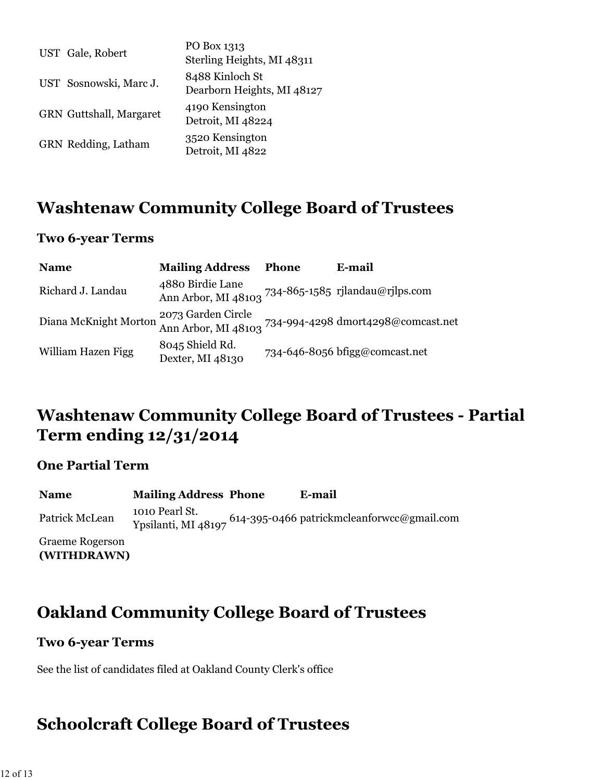| UST Gale, Robert               | PO Box 1313<br>Sterling Heights, MI 48311     |
|--------------------------------|-----------------------------------------------|
| UST Sosnowski, Marc J.         | 8488 Kinloch St<br>Dearborn Heights, MI 48127 |
| <b>GRN</b> Guttshall, Margaret | 4190 Kensington<br>Detroit, MI 48224          |
| GRN Redding, Latham            | 3520 Kensington<br>Detroit, MI 4822           |

### **Washtenaw Community College Board of Trustees**

#### **Two 6-year Terms**

| <b>Name</b>           | <b>Mailing Address</b>                                                  | <b>Phone</b> | E-mail                                                                       |
|-----------------------|-------------------------------------------------------------------------|--------------|------------------------------------------------------------------------------|
| Richard J. Landau     | 4880 Birdie Lane<br>Ann Arbor, MI 48103 734-865-1585 rjlandau@rjlps.com |              |                                                                              |
| Diana McKnight Morton |                                                                         |              | 2073 Garden Circle<br>Ann Arbor, MI 48103 734-994-4298 dmort4298@comcast.net |
| William Hazen Figg    | 8045 Shield Rd.<br>Dexter, MI 48130                                     |              | $734 - 646 - 8056$ brigg@comcast.net                                         |

### **Washtenaw Community College Board of Trustees - Partial Term ending 12/31/2014**

#### **One Partial Term**

**(WITHDRAWN)**

| <b>Name</b>            | <b>Mailing Address Phone</b> | E-mail                                                                     |
|------------------------|------------------------------|----------------------------------------------------------------------------|
| Patrick McLean         | 1010 Pearl St.               | Ypsilanti, MI 48197 <sup>614-</sup> 395-0466 patrickmcleanforwcc@gmail.com |
| <b>Graeme Rogerson</b> |                              |                                                                            |

**Oakland Community College Board of Trustees**

#### **Two 6-year Terms**

See the list of candidates filed at Oakland County Clerk's office

### **Schoolcraft College Board of Trustees**